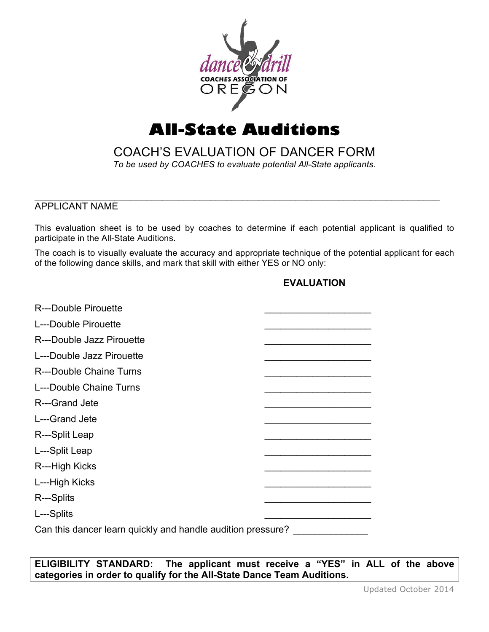

# **All-State Auditions**

# COACH'S EVALUATION OF DANCER FORM

*To be used by COACHES to evaluate potential All-State applicants.*

 $\_$ 

# APPLICANT NAME

This evaluation sheet is to be used by coaches to determine if each potential applicant is qualified to participate in the All-State Auditions.

The coach is to visually evaluate the accuracy and appropriate technique of the potential applicant for each of the following dance skills, and mark that skill with either YES or NO only:

# **EVALUATION**

| R---Double Pirouette                                        |  |
|-------------------------------------------------------------|--|
| L---Double Pirouette                                        |  |
| R---Double Jazz Pirouette                                   |  |
| L---Double Jazz Pirouette                                   |  |
| R---Double Chaine Turns                                     |  |
| L---Double Chaine Turns                                     |  |
| R---Grand Jete                                              |  |
| L---Grand Jete                                              |  |
| R---Split Leap                                              |  |
| L---Split Leap                                              |  |
| R---High Kicks                                              |  |
| L---High Kicks                                              |  |
| R---Splits                                                  |  |
| L---Splits                                                  |  |
| Can this dancer learn quickly and handle audition pressure? |  |

**ELIGIBILITY STANDARD: The applicant must receive a "YES" in ALL of the above categories in order to qualify for the All-State Dance Team Auditions.**